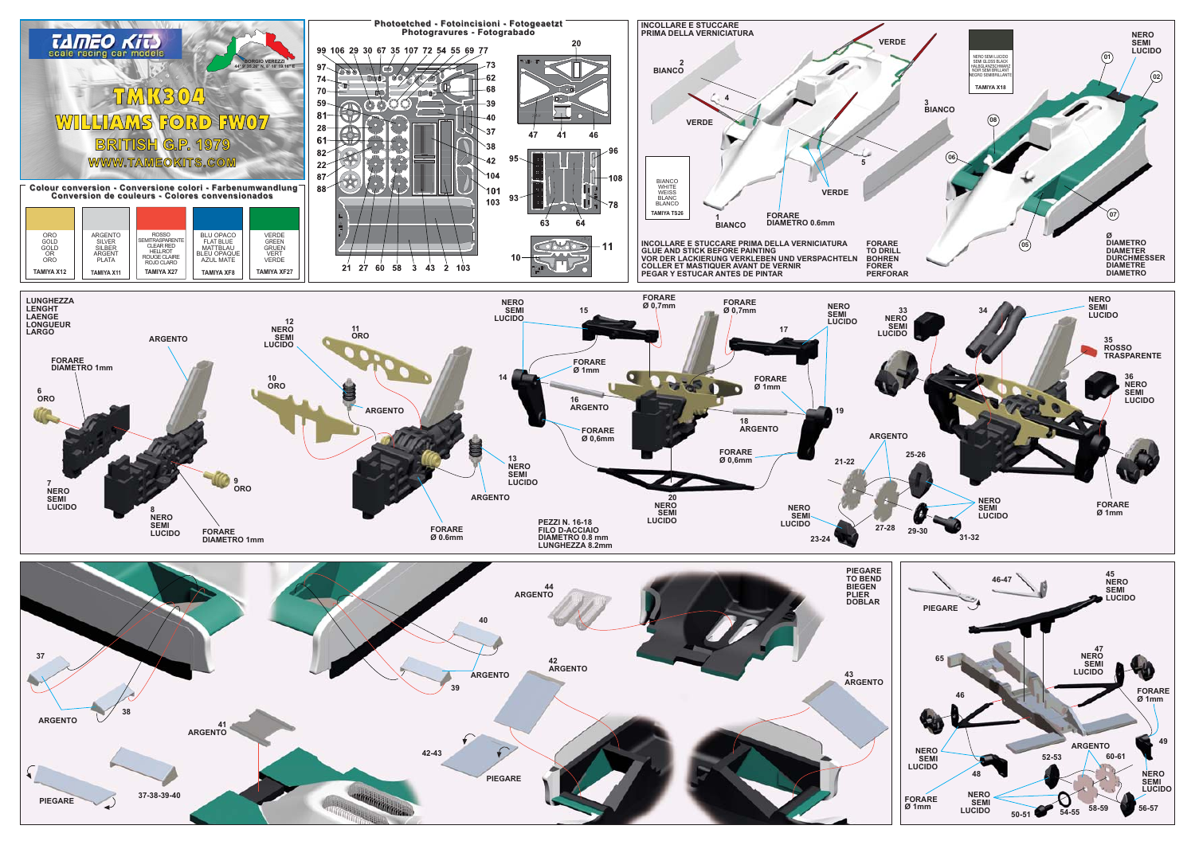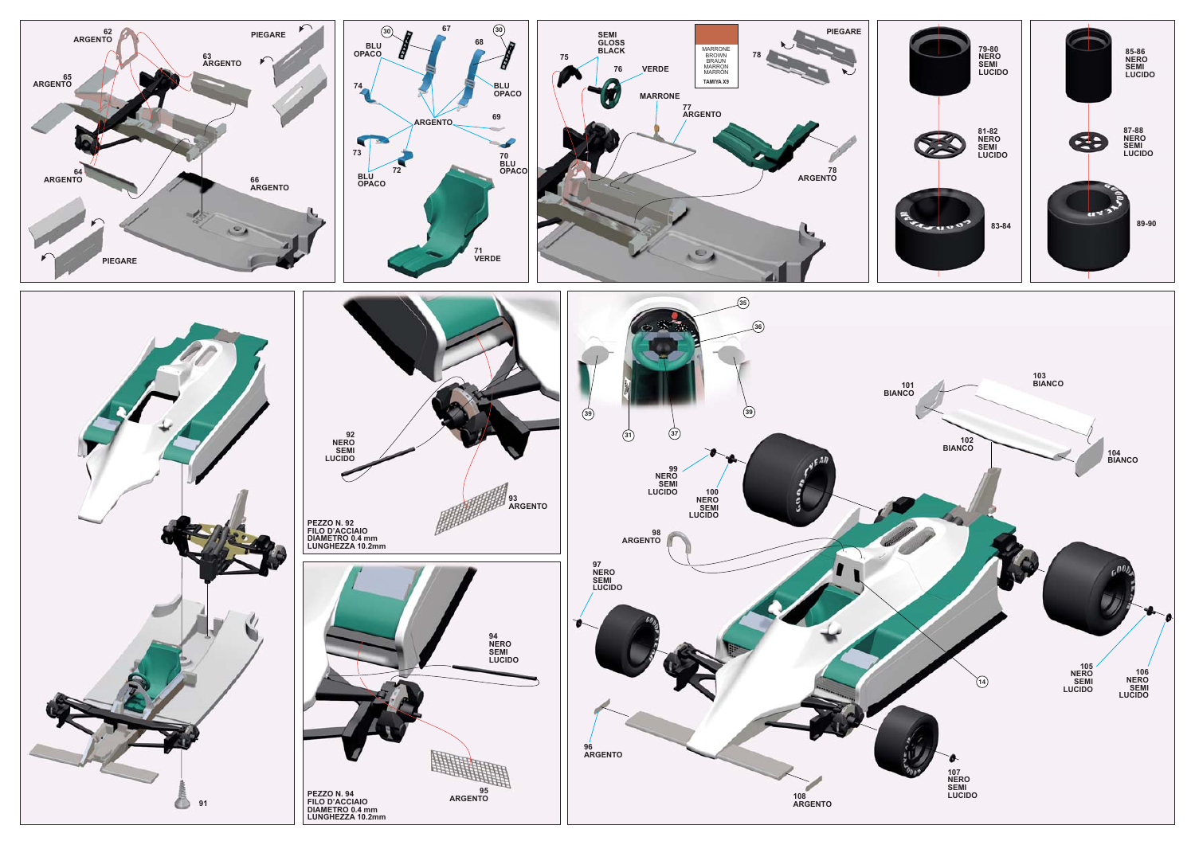